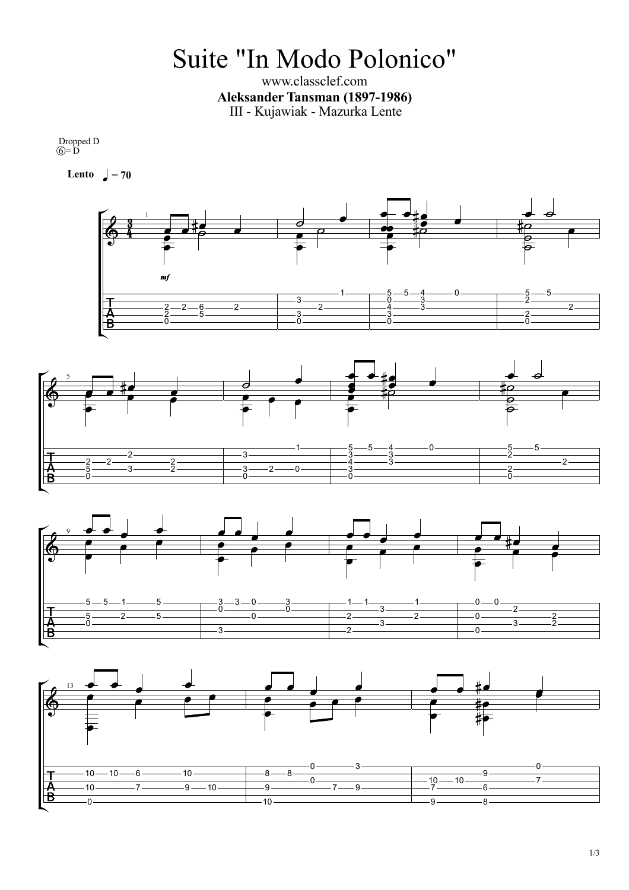## Suite "In Modo Polonico"

www.classclef.com **Aleksander Tansman (1897-1986)** III - Kujawiak - Mazurka Lente

Dropped D  $\widehat{O} = \overline{D}$ 

**Lento**  $\sqrt{ } = 70$ 







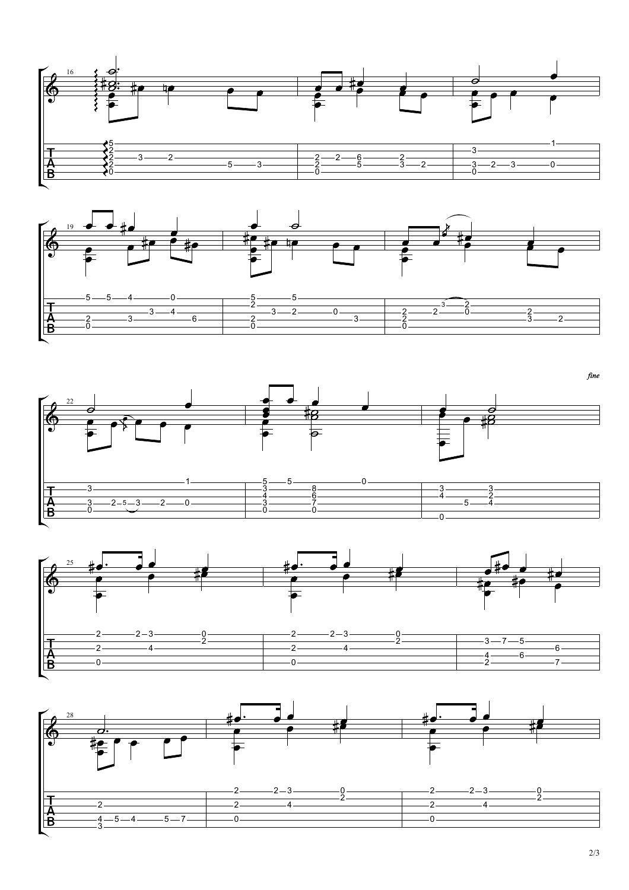